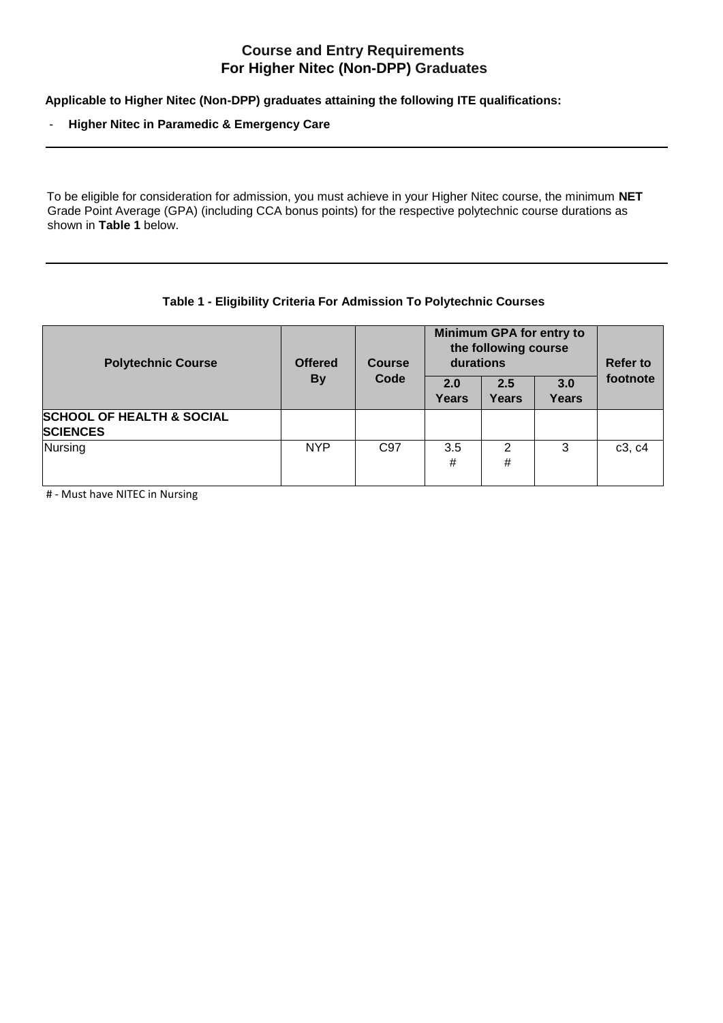# **Course and Entry Requirements For Higher Nitec (Non-DPP) Graduates**

**Applicable to Higher Nitec (Non-DPP) graduates attaining the following ITE qualifications:**

#### - **Higher Nitec in Paramedic & Emergency Care**

To be eligible for consideration for admission, you must achieve in your Higher Nitec course, the minimum **NET**  Grade Point Average (GPA) (including CCA bonus points) for the respective polytechnic course durations as shown in **Table 1** below.

### **Table 1 - Eligibility Criteria For Admission To Polytechnic Courses**

| <b>Polytechnic Course</b>                               | <b>Offered</b><br><b>By</b> | <b>Course</b><br>Code | Minimum GPA for entry to<br>the following course<br>durations |              |                     | <b>Refer to</b> |
|---------------------------------------------------------|-----------------------------|-----------------------|---------------------------------------------------------------|--------------|---------------------|-----------------|
|                                                         |                             |                       | 2.0<br>Years                                                  | 2.5<br>Years | 3.0<br><b>Years</b> | footnote        |
| <b>SCHOOL OF HEALTH &amp; SOCIAL</b><br><b>SCIENCES</b> |                             |                       |                                                               |              |                     |                 |
| Nursing                                                 | <b>NYP</b>                  | C <sub>97</sub>       | 3.5<br>#                                                      | 2<br>#       | 3                   | c3, c4          |

# - Must have NITEC in Nursing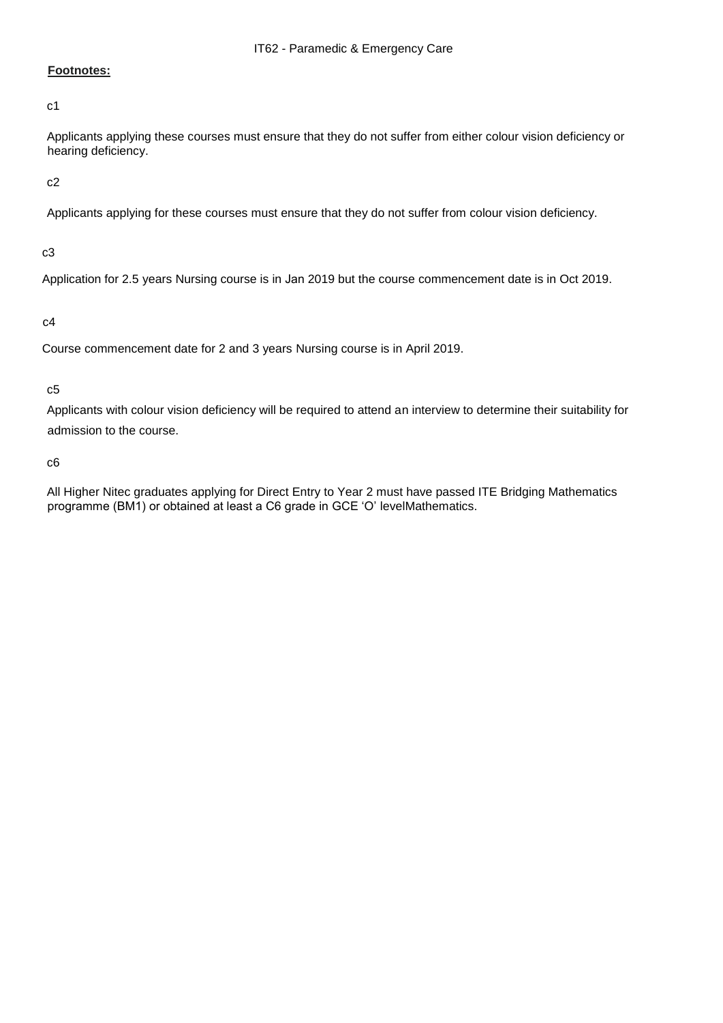## **Footnotes:**

c1

Applicants applying these courses must ensure that they do not suffer from either colour vision deficiency or hearing deficiency.

c2

Applicants applying for these courses must ensure that they do not suffer from colour vision deficiency.

c3

Application for 2.5 years Nursing course is in Jan 2019 but the course commencement date is in Oct 2019.

c4

Course commencement date for 2 and 3 years Nursing course is in April 2019.

c5

Applicants with colour vision deficiency will be required to attend an interview to determine their suitability for admission to the course.

c6

All Higher Nitec graduates applying for Direct Entry to Year 2 must have passed ITE Bridging Mathematics programme (BM1) or obtained at least a C6 grade in GCE 'O' levelMathematics.